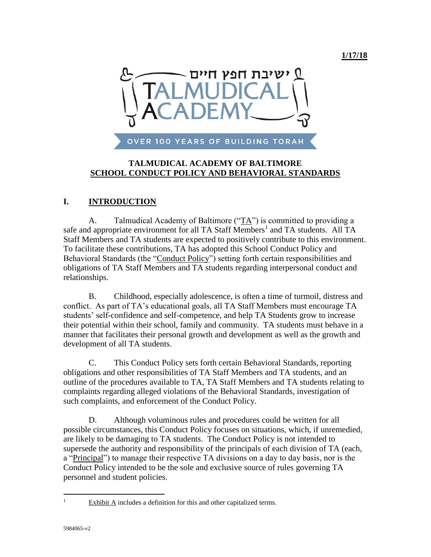

### **TALMUDICAL ACADEMY OF BALTIMORE SCHOOL CONDUCT POLICY AND BEHAVIORAL STANDARDS**

## **I. INTRODUCTION**

A. Talmudical Academy of Baltimore ("TA") is committed to providing a safe and appropriate environment for all TA Staff Members<sup>1</sup> and TA students. All TA Staff Members and TA students are expected to positively contribute to this environment. To facilitate these contributions, TA has adopted this School Conduct Policy and Behavioral Standards (the "Conduct Policy") setting forth certain responsibilities and obligations of TA Staff Members and TA students regarding interpersonal conduct and relationships.

B. Childhood, especially adolescence, is often a time of turmoil, distress and conflict. As part of TA's educational goals, all TA Staff Members must encourage TA students' self-confidence and self-competence, and help TA Students grow to increase their potential within their school, family and community. TA students must behave in a manner that facilitates their personal growth and development as well as the growth and development of all TA students.

C. This Conduct Policy sets forth certain Behavioral Standards, reporting obligations and other responsibilities of TA Staff Members and TA students, and an outline of the procedures available to TA, TA Staff Members and TA students relating to complaints regarding alleged violations of the Behavioral Standards, investigation of such complaints, and enforcement of the Conduct Policy.

D. Although voluminous rules and procedures could be written for all possible circumstances, this Conduct Policy focuses on situations, which, if unremedied, are likely to be damaging to TA students. The Conduct Policy is not intended to supersede the authority and responsibility of the principals of each division of TA (each, a "Principal") to manage their respective TA divisions on a day to day basis, nor is the Conduct Policy intended to be the sole and exclusive source of rules governing TA personnel and student policies.

 $\overline{a}$ 

<sup>&</sup>lt;sup>1</sup> Exhibit A includes a definition for this and other capitalized terms.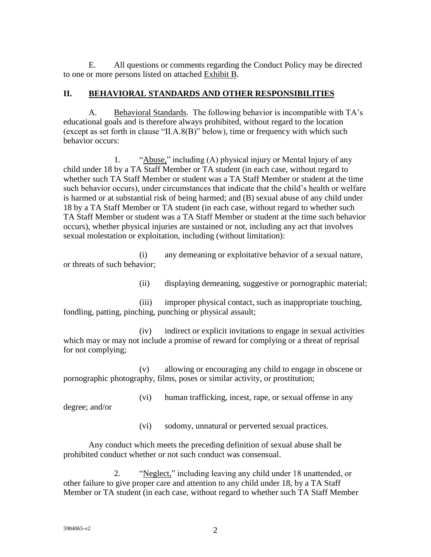E. All questions or comments regarding the Conduct Policy may be directed to one or more persons listed on attached Exhibit B.

#### **II. BEHAVIORAL STANDARDS AND OTHER RESPONSIBILITIES**

A. Behavioral Standards. The following behavior is incompatible with TA's educational goals and is therefore always prohibited, without regard to the location (except as set forth in clause "II.A.8(B)" below), time or frequency with which such behavior occurs:

1. "Abuse," including (A) physical injury or Mental Injury of any child under 18 by a TA Staff Member or TA student (in each case, without regard to whether such TA Staff Member or student was a TA Staff Member or student at the time such behavior occurs), under circumstances that indicate that the child's health or welfare is harmed or at substantial risk of being harmed; and (B) sexual abuse of any child under 18 by a TA Staff Member or TA student (in each case, without regard to whether such TA Staff Member or student was a TA Staff Member or student at the time such behavior occurs), whether physical injuries are sustained or not, including any act that involves sexual molestation or exploitation, including (without limitation):

(i) any demeaning or exploitative behavior of a sexual nature, or threats of such behavior;

(ii) displaying demeaning, suggestive or pornographic material;

(iii) improper physical contact, such as inappropriate touching, fondling, patting, pinching, punching or physical assault;

(iv) indirect or explicit invitations to engage in sexual activities which may or may not include a promise of reward for complying or a threat of reprisal for not complying;

(v) allowing or encouraging any child to engage in obscene or pornographic photography, films, poses or similar activity, or prostitution;

degree; and/or

(vi) human trafficking, incest, rape, or sexual offense in any

(vi) sodomy, unnatural or perverted sexual practices.

Any conduct which meets the preceding definition of sexual abuse shall be prohibited conduct whether or not such conduct was consensual.

2. "Neglect," including leaving any child under 18 unattended, or other failure to give proper care and attention to any child under 18, by a TA Staff Member or TA student (in each case, without regard to whether such TA Staff Member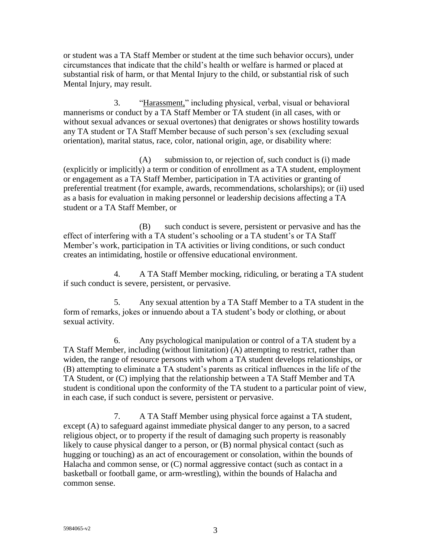or student was a TA Staff Member or student at the time such behavior occurs), under circumstances that indicate that the child's health or welfare is harmed or placed at substantial risk of harm, or that Mental Injury to the child, or substantial risk of such Mental Injury, may result.

3. "Harassment," including physical, verbal, visual or behavioral mannerisms or conduct by a TA Staff Member or TA student (in all cases, with or without sexual advances or sexual overtones) that denigrates or shows hostility towards any TA student or TA Staff Member because of such person's sex (excluding sexual orientation), marital status, race, color, national origin, age, or disability where:

(A) submission to, or rejection of, such conduct is (i) made (explicitly or implicitly) a term or condition of enrollment as a TA student, employment or engagement as a TA Staff Member, participation in TA activities or granting of preferential treatment (for example, awards, recommendations, scholarships); or (ii) used as a basis for evaluation in making personnel or leadership decisions affecting a TA student or a TA Staff Member, or

(B) such conduct is severe, persistent or pervasive and has the effect of interfering with a TA student's schooling or a TA student's or TA Staff Member's work, participation in TA activities or living conditions, or such conduct creates an intimidating, hostile or offensive educational environment.

4. A TA Staff Member mocking, ridiculing, or berating a TA student if such conduct is severe, persistent, or pervasive.

5. Any sexual attention by a TA Staff Member to a TA student in the form of remarks, jokes or innuendo about a TA student's body or clothing, or about sexual activity.

6. Any psychological manipulation or control of a TA student by a TA Staff Member, including (without limitation) (A) attempting to restrict, rather than widen, the range of resource persons with whom a TA student develops relationships, or (B) attempting to eliminate a TA student's parents as critical influences in the life of the TA Student, or (C) implying that the relationship between a TA Staff Member and TA student is conditional upon the conformity of the TA student to a particular point of view, in each case, if such conduct is severe, persistent or pervasive.

7. A TA Staff Member using physical force against a TA student, except (A) to safeguard against immediate physical danger to any person, to a sacred religious object, or to property if the result of damaging such property is reasonably likely to cause physical danger to a person, or (B) normal physical contact (such as hugging or touching) as an act of encouragement or consolation, within the bounds of Halacha and common sense, or (C) normal aggressive contact (such as contact in a basketball or football game, or arm-wrestling), within the bounds of Halacha and common sense.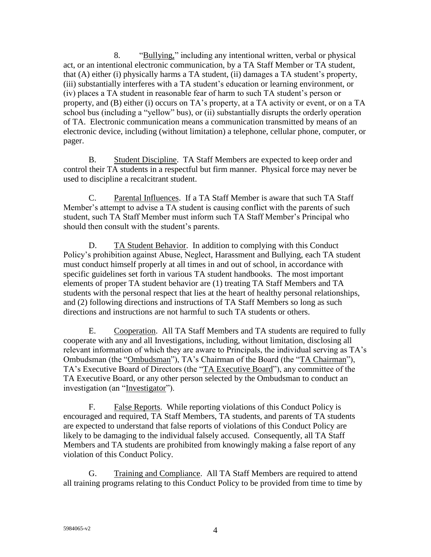8. "Bullying," including any intentional written, verbal or physical act, or an intentional electronic communication, by a TA Staff Member or TA student, that (A) either (i) physically harms a TA student, (ii) damages a TA student's property, (iii) substantially interferes with a TA student's education or learning environment, or (iv) places a TA student in reasonable fear of harm to such TA student's person or property, and (B) either (i) occurs on TA's property, at a TA activity or event, or on a TA school bus (including a "yellow" bus), or (ii) substantially disrupts the orderly operation of TA. Electronic communication means a communication transmitted by means of an electronic device, including (without limitation) a telephone, cellular phone, computer, or pager.

B. Student Discipline. TA Staff Members are expected to keep order and control their TA students in a respectful but firm manner. Physical force may never be used to discipline a recalcitrant student.

C. Parental Influences. If a TA Staff Member is aware that such TA Staff Member's attempt to advise a TA student is causing conflict with the parents of such student, such TA Staff Member must inform such TA Staff Member's Principal who should then consult with the student's parents.

D. TA Student Behavior. In addition to complying with this Conduct Policy's prohibition against Abuse, Neglect, Harassment and Bullying, each TA student must conduct himself properly at all times in and out of school, in accordance with specific guidelines set forth in various TA student handbooks. The most important elements of proper TA student behavior are (1) treating TA Staff Members and TA students with the personal respect that lies at the heart of healthy personal relationships, and (2) following directions and instructions of TA Staff Members so long as such directions and instructions are not harmful to such TA students or others.

E. Cooperation. All TA Staff Members and TA students are required to fully cooperate with any and all Investigations, including, without limitation, disclosing all relevant information of which they are aware to Principals, the individual serving as TA's Ombudsman (the "Ombudsman"), TA's Chairman of the Board (the "TA Chairman"), TA's Executive Board of Directors (the "TA Executive Board"), any committee of the TA Executive Board, or any other person selected by the Ombudsman to conduct an investigation (an "Investigator").

F. False Reports. While reporting violations of this Conduct Policy is encouraged and required, TA Staff Members, TA students, and parents of TA students are expected to understand that false reports of violations of this Conduct Policy are likely to be damaging to the individual falsely accused. Consequently, all TA Staff Members and TA students are prohibited from knowingly making a false report of any violation of this Conduct Policy.

G. Training and Compliance. All TA Staff Members are required to attend all training programs relating to this Conduct Policy to be provided from time to time by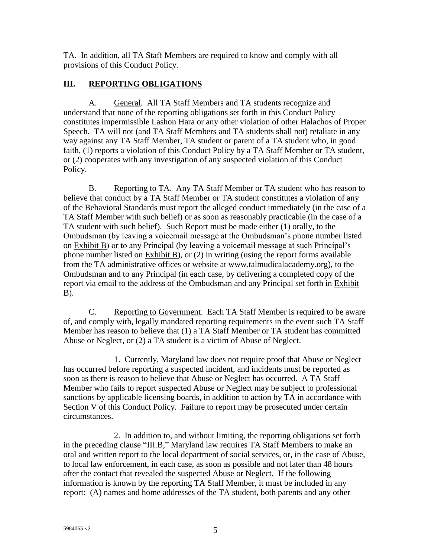TA. In addition, all TA Staff Members are required to know and comply with all provisions of this Conduct Policy.

## **III. REPORTING OBLIGATIONS**

A. General. All TA Staff Members and TA students recognize and understand that none of the reporting obligations set forth in this Conduct Policy constitutes impermissible Lashon Hara or any other violation of other Halachos of Proper Speech. TA will not (and TA Staff Members and TA students shall not) retaliate in any way against any TA Staff Member, TA student or parent of a TA student who, in good faith, (1) reports a violation of this Conduct Policy by a TA Staff Member or TA student, or (2) cooperates with any investigation of any suspected violation of this Conduct Policy.

B. Reporting to TA. Any TA Staff Member or TA student who has reason to believe that conduct by a TA Staff Member or TA student constitutes a violation of any of the Behavioral Standards must report the alleged conduct immediately (in the case of a TA Staff Member with such belief) or as soon as reasonably practicable (in the case of a TA student with such belief). Such Report must be made either (1) orally, to the Ombudsman (by leaving a voicemail message at the Ombudsman's phone number listed on Exhibit B) or to any Principal (by leaving a voicemail message at such Principal's phone number listed on Exhibit B), or (2) in writing (using the report forms available from the TA administrative offices or website at www.talmudicalacademy.org), to the Ombudsman and to any Principal (in each case, by delivering a completed copy of the report via email to the address of the Ombudsman and any Principal set forth in Exhibit B).

C. Reporting to Government. Each TA Staff Member is required to be aware of, and comply with, legally mandated reporting requirements in the event such TA Staff Member has reason to believe that (1) a TA Staff Member or TA student has committed Abuse or Neglect, or (2) a TA student is a victim of Abuse of Neglect.

1. Currently, Maryland law does not require proof that Abuse or Neglect has occurred before reporting a suspected incident, and incidents must be reported as soon as there is reason to believe that Abuse or Neglect has occurred. A TA Staff Member who fails to report suspected Abuse or Neglect may be subject to professional sanctions by applicable licensing boards, in addition to action by TA in accordance with Section V of this Conduct Policy. Failure to report may be prosecuted under certain circumstances.

2. In addition to, and without limiting, the reporting obligations set forth in the preceding clause "III.B," Maryland law requires TA Staff Members to make an oral and written report to the local department of social services, or, in the case of Abuse, to local law enforcement, in each case, as soon as possible and not later than 48 hours after the contact that revealed the suspected Abuse or Neglect. If the following information is known by the reporting TA Staff Member, it must be included in any report: (A) names and home addresses of the TA student, both parents and any other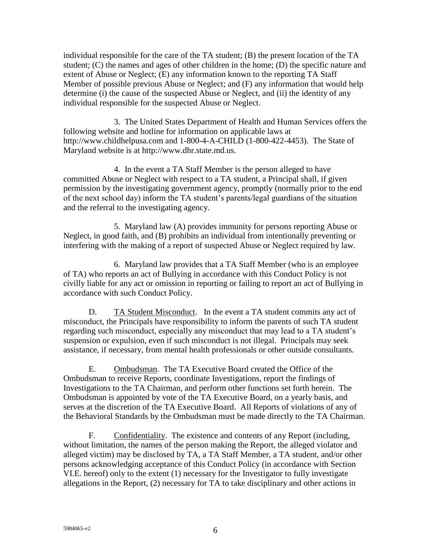individual responsible for the care of the TA student; (B) the present location of the TA student; (C) the names and ages of other children in the home; (D) the specific nature and extent of Abuse or Neglect; (E) any information known to the reporting TA Staff Member of possible previous Abuse or Neglect; and (F) any information that would help determine (i) the cause of the suspected Abuse or Neglect, and (ii) the identity of any individual responsible for the suspected Abuse or Neglect.

3. The United States Department of Health and Human Services offers the following website and hotline for information on applicable laws at http://www.childhelpusa.com and 1-800-4-A-CHILD (1-800-422-4453). The State of Maryland website is at http://www.dhr.state.md.us.

4. In the event a TA Staff Member is the person alleged to have committed Abuse or Neglect with respect to a TA student, a Principal shall, if given permission by the investigating government agency, promptly (normally prior to the end of the next school day) inform the TA student's parents/legal guardians of the situation and the referral to the investigating agency.

5. Maryland law (A) provides immunity for persons reporting Abuse or Neglect, in good faith, and (B) prohibits an individual from intentionally preventing or interfering with the making of a report of suspected Abuse or Neglect required by law.

6. Maryland law provides that a TA Staff Member (who is an employee of TA) who reports an act of Bullying in accordance with this Conduct Policy is not civilly liable for any act or omission in reporting or failing to report an act of Bullying in accordance with such Conduct Policy.

D. TA Student Misconduct. In the event a TA student commits any act of misconduct, the Principals have responsibility to inform the parents of such TA student regarding such misconduct, especially any misconduct that may lead to a TA student's suspension or expulsion, even if such misconduct is not illegal. Principals may seek assistance, if necessary, from mental health professionals or other outside consultants.

E. Ombudsman. The TA Executive Board created the Office of the Ombudsman to receive Reports, coordinate Investigations, report the findings of Investigations to the TA Chairman, and perform other functions set forth herein. The Ombudsman is appointed by vote of the TA Executive Board, on a yearly basis, and serves at the discretion of the TA Executive Board. All Reports of violations of any of the Behavioral Standards by the Ombudsman must be made directly to the TA Chairman.

F. Confidentiality. The existence and contents of any Report (including, without limitation, the names of the person making the Report, the alleged violator and alleged victim) may be disclosed by TA, a TA Staff Member, a TA student, and/or other persons acknowledging acceptance of this Conduct Policy (in accordance with Section VI.E. hereof) only to the extent (1) necessary for the Investigator to fully investigate allegations in the Report, (2) necessary for TA to take disciplinary and other actions in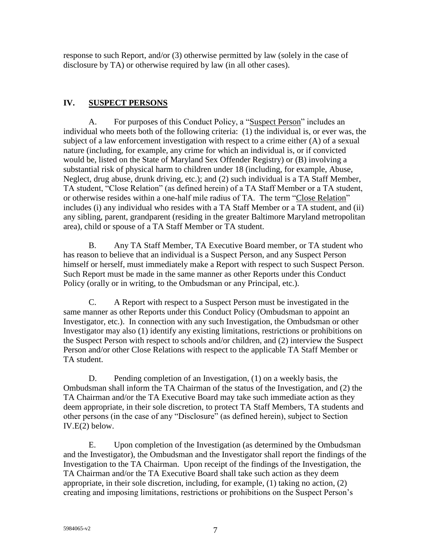response to such Report, and/or (3) otherwise permitted by law (solely in the case of disclosure by TA) or otherwise required by law (in all other cases).

## **IV. SUSPECT PERSONS**

A. For purposes of this Conduct Policy, a "Suspect Person" includes an individual who meets both of the following criteria: (1) the individual is, or ever was, the subject of a law enforcement investigation with respect to a crime either (A) of a sexual nature (including, for example, any crime for which an individual is, or if convicted would be, listed on the State of Maryland Sex Offender Registry) or (B) involving a substantial risk of physical harm to children under 18 (including, for example, Abuse, Neglect, drug abuse, drunk driving, etc.); and (2) such individual is a TA Staff Member, TA student, "Close Relation" (as defined herein) of a TA Staff Member or a TA student, or otherwise resides within a one-half mile radius of TA. The term "Close Relation" includes (i) any individual who resides with a TA Staff Member or a TA student, and (ii) any sibling, parent, grandparent (residing in the greater Baltimore Maryland metropolitan area), child or spouse of a TA Staff Member or TA student.

B. Any TA Staff Member, TA Executive Board member, or TA student who has reason to believe that an individual is a Suspect Person, and any Suspect Person himself or herself, must immediately make a Report with respect to such Suspect Person. Such Report must be made in the same manner as other Reports under this Conduct Policy (orally or in writing, to the Ombudsman or any Principal, etc.).

C. A Report with respect to a Suspect Person must be investigated in the same manner as other Reports under this Conduct Policy (Ombudsman to appoint an Investigator, etc.). In connection with any such Investigation, the Ombudsman or other Investigator may also (1) identify any existing limitations, restrictions or prohibitions on the Suspect Person with respect to schools and/or children, and (2) interview the Suspect Person and/or other Close Relations with respect to the applicable TA Staff Member or TA student.

D. Pending completion of an Investigation, (1) on a weekly basis, the Ombudsman shall inform the TA Chairman of the status of the Investigation, and (2) the TA Chairman and/or the TA Executive Board may take such immediate action as they deem appropriate, in their sole discretion, to protect TA Staff Members, TA students and other persons (in the case of any "Disclosure" (as defined herein), subject to Section IV.E(2) below.

E. Upon completion of the Investigation (as determined by the Ombudsman and the Investigator), the Ombudsman and the Investigator shall report the findings of the Investigation to the TA Chairman. Upon receipt of the findings of the Investigation, the TA Chairman and/or the TA Executive Board shall take such action as they deem appropriate, in their sole discretion, including, for example, (1) taking no action, (2) creating and imposing limitations, restrictions or prohibitions on the Suspect Person's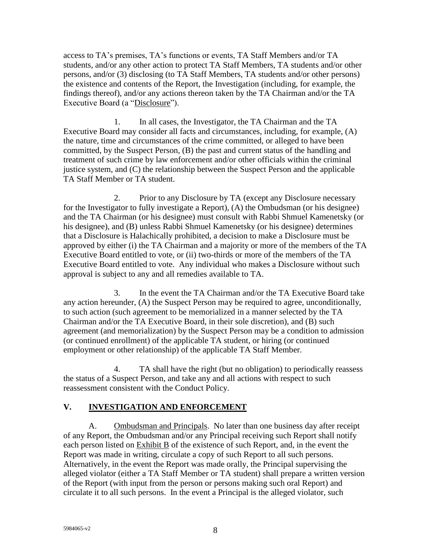access to TA's premises, TA's functions or events, TA Staff Members and/or TA students, and/or any other action to protect TA Staff Members, TA students and/or other persons, and/or (3) disclosing (to TA Staff Members, TA students and/or other persons) the existence and contents of the Report, the Investigation (including, for example, the findings thereof), and/or any actions thereon taken by the TA Chairman and/or the TA Executive Board (a "Disclosure").

1. In all cases, the Investigator, the TA Chairman and the TA Executive Board may consider all facts and circumstances, including, for example, (A) the nature, time and circumstances of the crime committed, or alleged to have been committed, by the Suspect Person, (B) the past and current status of the handling and treatment of such crime by law enforcement and/or other officials within the criminal justice system, and (C) the relationship between the Suspect Person and the applicable TA Staff Member or TA student.

2. Prior to any Disclosure by TA (except any Disclosure necessary for the Investigator to fully investigate a Report), (A) the Ombudsman (or his designee) and the TA Chairman (or his designee) must consult with Rabbi Shmuel Kamenetsky (or his designee), and (B) unless Rabbi Shmuel Kamenetsky (or his designee) determines that a Disclosure is Halachically prohibited, a decision to make a Disclosure must be approved by either (i) the TA Chairman and a majority or more of the members of the TA Executive Board entitled to vote, or (ii) two-thirds or more of the members of the TA Executive Board entitled to vote. Any individual who makes a Disclosure without such approval is subject to any and all remedies available to TA.

3. In the event the TA Chairman and/or the TA Executive Board take any action hereunder, (A) the Suspect Person may be required to agree, unconditionally, to such action (such agreement to be memorialized in a manner selected by the TA Chairman and/or the TA Executive Board, in their sole discretion), and (B) such agreement (and memorialization) by the Suspect Person may be a condition to admission (or continued enrollment) of the applicable TA student, or hiring (or continued employment or other relationship) of the applicable TA Staff Member.

4. TA shall have the right (but no obligation) to periodically reassess the status of a Suspect Person, and take any and all actions with respect to such reassessment consistent with the Conduct Policy.

## **V. INVESTIGATION AND ENFORCEMENT**

A. Ombudsman and Principals. No later than one business day after receipt of any Report, the Ombudsman and/or any Principal receiving such Report shall notify each person listed on Exhibit B of the existence of such Report, and, in the event the Report was made in writing, circulate a copy of such Report to all such persons. Alternatively, in the event the Report was made orally, the Principal supervising the alleged violator (either a TA Staff Member or TA student) shall prepare a written version of the Report (with input from the person or persons making such oral Report) and circulate it to all such persons. In the event a Principal is the alleged violator, such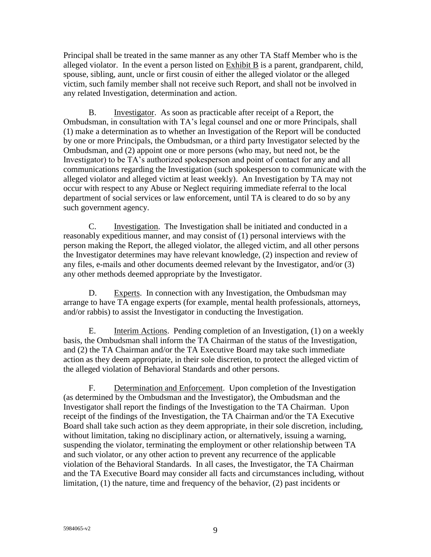Principal shall be treated in the same manner as any other TA Staff Member who is the alleged violator. In the event a person listed on Exhibit B is a parent, grandparent, child, spouse, sibling, aunt, uncle or first cousin of either the alleged violator or the alleged victim, such family member shall not receive such Report, and shall not be involved in any related Investigation, determination and action.

B. Investigator. As soon as practicable after receipt of a Report, the Ombudsman, in consultation with TA's legal counsel and one or more Principals, shall (1) make a determination as to whether an Investigation of the Report will be conducted by one or more Principals, the Ombudsman, or a third party Investigator selected by the Ombudsman, and (2) appoint one or more persons (who may, but need not, be the Investigator) to be TA's authorized spokesperson and point of contact for any and all communications regarding the Investigation (such spokesperson to communicate with the alleged violator and alleged victim at least weekly). An Investigation by TA may not occur with respect to any Abuse or Neglect requiring immediate referral to the local department of social services or law enforcement, until TA is cleared to do so by any such government agency.

C. Investigation. The Investigation shall be initiated and conducted in a reasonably expeditious manner, and may consist of (1) personal interviews with the person making the Report, the alleged violator, the alleged victim, and all other persons the Investigator determines may have relevant knowledge, (2) inspection and review of any files, e-mails and other documents deemed relevant by the Investigator, and/or (3) any other methods deemed appropriate by the Investigator.

D. Experts. In connection with any Investigation, the Ombudsman may arrange to have TA engage experts (for example, mental health professionals, attorneys, and/or rabbis) to assist the Investigator in conducting the Investigation.

E. **Interim Actions.** Pending completion of an Investigation, (1) on a weekly basis, the Ombudsman shall inform the TA Chairman of the status of the Investigation, and (2) the TA Chairman and/or the TA Executive Board may take such immediate action as they deem appropriate, in their sole discretion, to protect the alleged victim of the alleged violation of Behavioral Standards and other persons.

F. Determination and Enforcement. Upon completion of the Investigation (as determined by the Ombudsman and the Investigator), the Ombudsman and the Investigator shall report the findings of the Investigation to the TA Chairman. Upon receipt of the findings of the Investigation, the TA Chairman and/or the TA Executive Board shall take such action as they deem appropriate, in their sole discretion, including, without limitation, taking no disciplinary action, or alternatively, issuing a warning, suspending the violator, terminating the employment or other relationship between TA and such violator, or any other action to prevent any recurrence of the applicable violation of the Behavioral Standards. In all cases, the Investigator, the TA Chairman and the TA Executive Board may consider all facts and circumstances including, without limitation, (1) the nature, time and frequency of the behavior, (2) past incidents or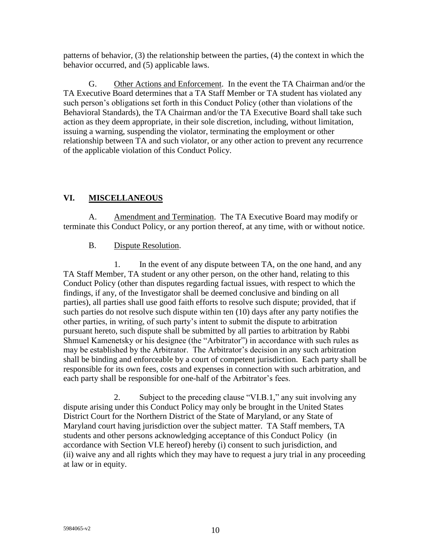patterns of behavior, (3) the relationship between the parties, (4) the context in which the behavior occurred, and (5) applicable laws.

G. Other Actions and Enforcement. In the event the TA Chairman and/or the TA Executive Board determines that a TA Staff Member or TA student has violated any such person's obligations set forth in this Conduct Policy (other than violations of the Behavioral Standards), the TA Chairman and/or the TA Executive Board shall take such action as they deem appropriate, in their sole discretion, including, without limitation, issuing a warning, suspending the violator, terminating the employment or other relationship between TA and such violator, or any other action to prevent any recurrence of the applicable violation of this Conduct Policy.

## **VI. MISCELLANEOUS**

A. Amendment and Termination. The TA Executive Board may modify or terminate this Conduct Policy, or any portion thereof, at any time, with or without notice.

#### B. Dispute Resolution.

1. In the event of any dispute between TA, on the one hand, and any TA Staff Member, TA student or any other person, on the other hand, relating to this Conduct Policy (other than disputes regarding factual issues, with respect to which the findings, if any, of the Investigator shall be deemed conclusive and binding on all parties), all parties shall use good faith efforts to resolve such dispute; provided, that if such parties do not resolve such dispute within ten (10) days after any party notifies the other parties, in writing, of such party's intent to submit the dispute to arbitration pursuant hereto, such dispute shall be submitted by all parties to arbitration by Rabbi Shmuel Kamenetsky or his designee (the "Arbitrator") in accordance with such rules as may be established by the Arbitrator. The Arbitrator's decision in any such arbitration shall be binding and enforceable by a court of competent jurisdiction. Each party shall be responsible for its own fees, costs and expenses in connection with such arbitration, and each party shall be responsible for one-half of the Arbitrator's fees.

2. Subject to the preceding clause "VI.B.1," any suit involving any dispute arising under this Conduct Policy may only be brought in the United States District Court for the Northern District of the State of Maryland, or any State of Maryland court having jurisdiction over the subject matter. TA Staff members, TA students and other persons acknowledging acceptance of this Conduct Policy (in accordance with Section VI.E hereof) hereby (i) consent to such jurisdiction, and (ii) waive any and all rights which they may have to request a jury trial in any proceeding at law or in equity.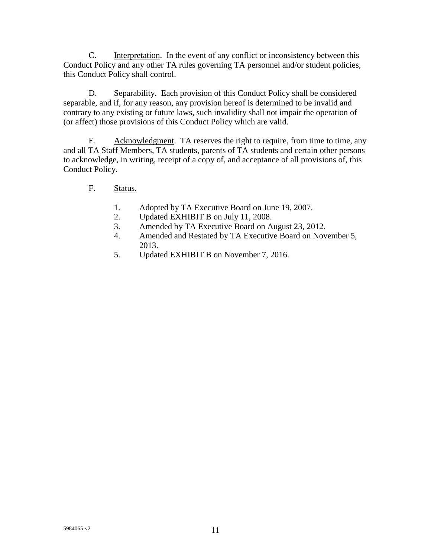C. Interpretation. In the event of any conflict or inconsistency between this Conduct Policy and any other TA rules governing TA personnel and/or student policies, this Conduct Policy shall control.

D. Separability. Each provision of this Conduct Policy shall be considered separable, and if, for any reason, any provision hereof is determined to be invalid and contrary to any existing or future laws, such invalidity shall not impair the operation of (or affect) those provisions of this Conduct Policy which are valid.

E. Acknowledgment. TA reserves the right to require, from time to time, any and all TA Staff Members, TA students, parents of TA students and certain other persons to acknowledge, in writing, receipt of a copy of, and acceptance of all provisions of, this Conduct Policy.

- F. Status.
	- 1. Adopted by TA Executive Board on June 19, 2007.
	- 2. Updated EXHIBIT B on July 11, 2008.
	- 3. Amended by TA Executive Board on August 23, 2012.
	- 4. Amended and Restated by TA Executive Board on November 5, 2013.
	- 5. Updated EXHIBIT B on November 7, 2016.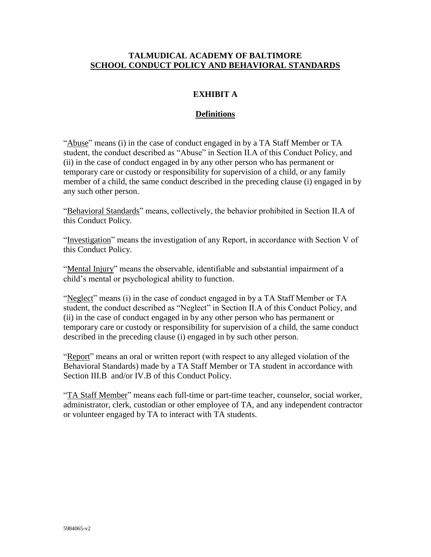#### **TALMUDICAL ACADEMY OF BALTIMORE SCHOOL CONDUCT POLICY AND BEHAVIORAL STANDARDS**

## **EXHIBIT A**

#### **Definitions**

"Abuse" means (i) in the case of conduct engaged in by a TA Staff Member or TA student, the conduct described as "Abuse" in Section II.A of this Conduct Policy, and (ii) in the case of conduct engaged in by any other person who has permanent or temporary care or custody or responsibility for supervision of a child, or any family member of a child, the same conduct described in the preceding clause (i) engaged in by any such other person.

"Behavioral Standards" means, collectively, the behavior prohibited in Section II.A of this Conduct Policy.

"Investigation" means the investigation of any Report, in accordance with Section V of this Conduct Policy.

"Mental Injury" means the observable, identifiable and substantial impairment of a child's mental or psychological ability to function.

"Neglect" means (i) in the case of conduct engaged in by a TA Staff Member or TA student, the conduct described as "Neglect" in Section II.A of this Conduct Policy, and (ii) in the case of conduct engaged in by any other person who has permanent or temporary care or custody or responsibility for supervision of a child, the same conduct described in the preceding clause (i) engaged in by such other person.

"Report" means an oral or written report (with respect to any alleged violation of the Behavioral Standards) made by a TA Staff Member or TA student in accordance with Section III.B and/or IV.B of this Conduct Policy.

"TA Staff Member" means each full-time or part-time teacher, counselor, social worker, administrator, clerk, custodian or other employee of TA, and any independent contractor or volunteer engaged by TA to interact with TA students.